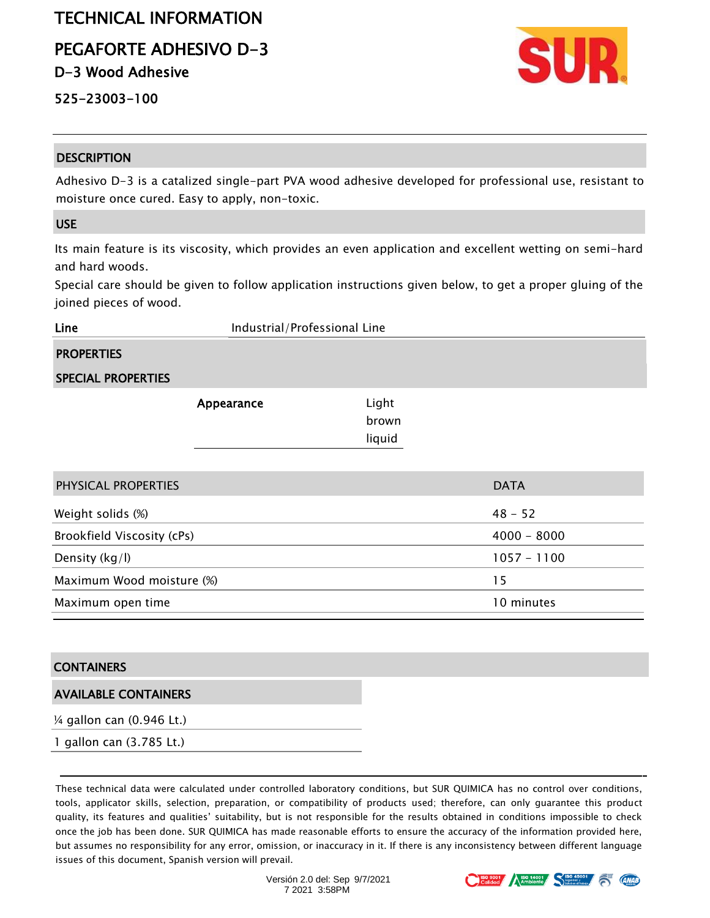# TECHNICAL INFORMATION

PEGAFORTE ADHESIVO D-3

D-3 Wood Adhesive

525-23003-100

## **DESCRIPTION**

Adhesivo D-3 is a catalized single-part PVA wood adhesive developed for professional use, resistant to moisture once cured. Easy to apply, non-toxic.

## USE

Its main feature is its viscosity, which provides an even application and excellent wetting on semi-hard and hard woods.

Special care should be given to follow application instructions given below, to get a proper gluing of the joined pieces of wood.

**Line Industrial/Professional Line** 

## **PROPERTIES**

### SPECIAL PROPERTIES

| Appearance | Light  |
|------------|--------|
|            | brown  |
|            | liquid |

| PHYSICAL PROPERTIES        | <b>DATA</b>   |
|----------------------------|---------------|
| Weight solids (%)          | $48 - 52$     |
| Brookfield Viscosity (cPs) | $4000 - 8000$ |
| Density $(kg/l)$           | $1057 - 1100$ |
| Maximum Wood moisture (%)  | 15            |
| Maximum open time          | 10 minutes    |

### **CONTAINERS**

### AVAILABLE CONTAINERS

¼ gallon can (0.946 Lt.)

1 gallon can (3.785 Lt.)

These technical data were calculated under controlled laboratory conditions, but SUR QUIMICA has no control over conditions, tools, applicator skills, selection, preparation, or compatibility of products used; therefore, can only guarantee this product quality, its features and qualities' suitability, but is not responsible for the results obtained in conditions impossible to check once the job has been done. SUR QUIMICA has made reasonable efforts to ensure the accuracy of the information provided here, but assumes no responsibility for any error, omission, or inaccuracy in it. If there is any inconsistency between different language issues of this document, Spanish version will prevail.



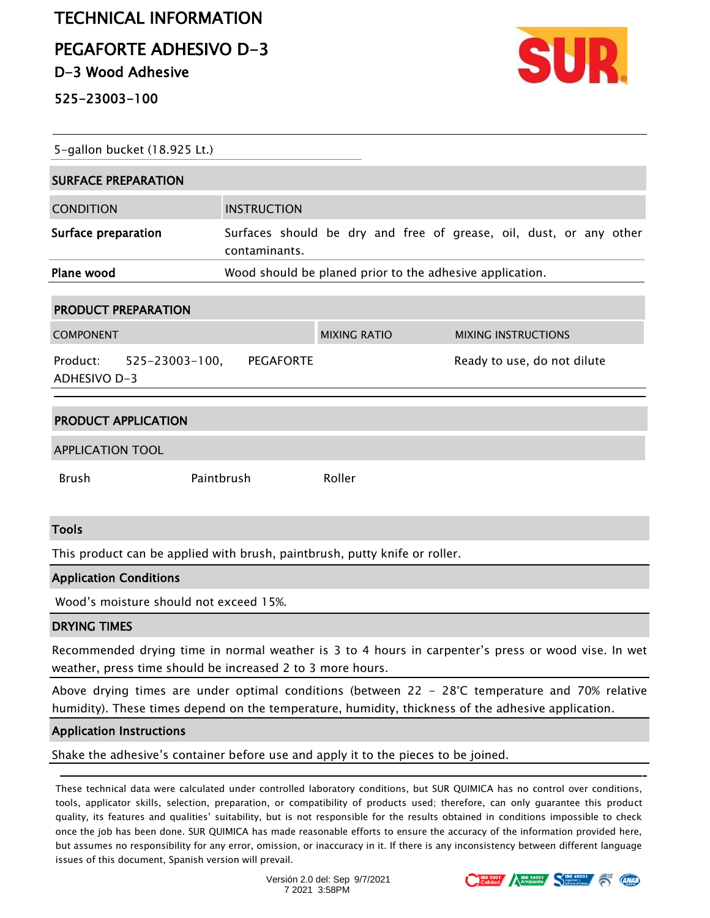# TECHNICAL INFORMATION

PEGAFORTE ADHESIVO D-3

D-3 Wood Adhesive

525-23003-100



| 5-gallon bucket (18.925 Lt.)                      |                                                          |                                                                    |  |                             |  |  |  |
|---------------------------------------------------|----------------------------------------------------------|--------------------------------------------------------------------|--|-----------------------------|--|--|--|
| <b>SURFACE PREPARATION</b>                        |                                                          |                                                                    |  |                             |  |  |  |
| <b>CONDITION</b>                                  | <b>INSTRUCTION</b>                                       |                                                                    |  |                             |  |  |  |
| Surface preparation                               | contaminants.                                            | Surfaces should be dry and free of grease, oil, dust, or any other |  |                             |  |  |  |
| Plane wood                                        | Wood should be planed prior to the adhesive application. |                                                                    |  |                             |  |  |  |
| <b>PRODUCT PREPARATION</b>                        |                                                          |                                                                    |  |                             |  |  |  |
| <b>COMPONENT</b>                                  |                                                          | <b>MIXING RATIO</b>                                                |  | <b>MIXING INSTRUCTIONS</b>  |  |  |  |
| Product: 525-23003-100, PEGAFORTE<br>ADHESIVO D-3 |                                                          |                                                                    |  | Ready to use, do not dilute |  |  |  |
| <b>PRODUCT APPLICATION</b>                        |                                                          |                                                                    |  |                             |  |  |  |
| <b>APPLICATION TOOL</b>                           |                                                          |                                                                    |  |                             |  |  |  |
| <b>Brush</b>                                      | Paintbrush                                               | Roller                                                             |  |                             |  |  |  |

#### Tools

This product can be applied with brush, paintbrush, putty knife or roller.

#### Application Conditions

Wood's moisture should not exceed 15%.

#### DRYING TIMES

Recommended drying time in normal weather is 3 to 4 hours in carpenter's press or wood vise. In wet weather, press time should be increased 2 to 3 more hours.

Above drying times are under optimal conditions (between 22 - 28°C temperature and 70% relative humidity). These times depend on the temperature, humidity, thickness of the adhesive application.

#### Application Instructions

Shake the adhesive's container before use and apply it to the pieces to be joined.

These technical data were calculated under controlled laboratory conditions, but SUR QUIMICA has no control over conditions, tools, applicator skills, selection, preparation, or compatibility of products used; therefore, can only guarantee this product quality, its features and qualities' suitability, but is not responsible for the results obtained in conditions impossible to check once the job has been done. SUR QUIMICA has made reasonable efforts to ensure the accuracy of the information provided here, but assumes no responsibility for any error, omission, or inaccuracy in it. If there is any inconsistency between different language issues of this document, Spanish version will prevail.